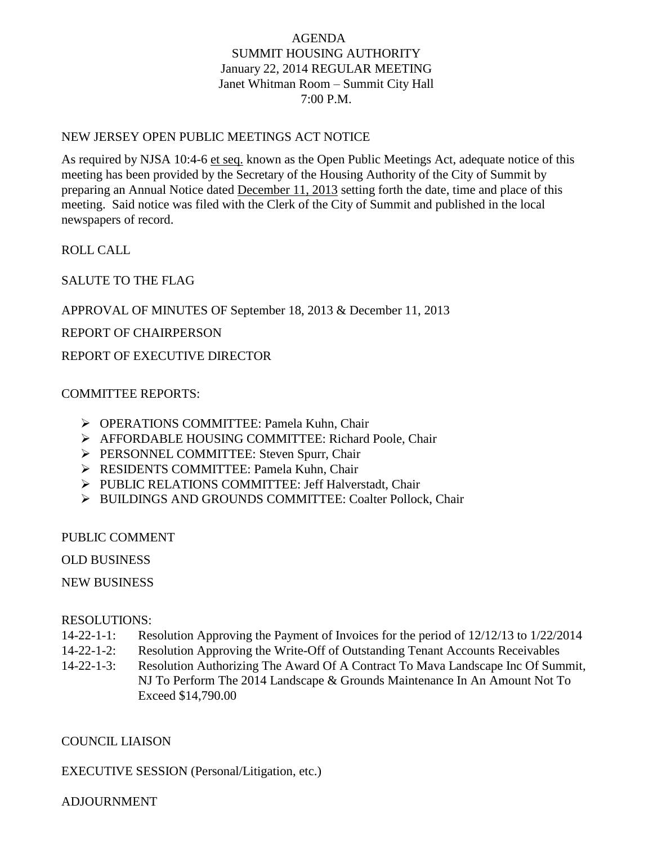# AGENDA SUMMIT HOUSING AUTHORITY January 22, 2014 REGULAR MEETING Janet Whitman Room – Summit City Hall 7:00 P.M.

### NEW JERSEY OPEN PUBLIC MEETINGS ACT NOTICE

As required by NJSA 10:4-6 et seq. known as the Open Public Meetings Act, adequate notice of this meeting has been provided by the Secretary of the Housing Authority of the City of Summit by preparing an Annual Notice dated December 11, 2013 setting forth the date, time and place of this meeting. Said notice was filed with the Clerk of the City of Summit and published in the local newspapers of record.

ROLL CALL

SALUTE TO THE FLAG

APPROVAL OF MINUTES OF September 18, 2013 & December 11, 2013

REPORT OF CHAIRPERSON

REPORT OF EXECUTIVE DIRECTOR

## COMMITTEE REPORTS:

- OPERATIONS COMMITTEE: Pamela Kuhn, Chair
- AFFORDABLE HOUSING COMMITTEE: Richard Poole, Chair
- **PERSONNEL COMMITTEE: Steven Spurr, Chair**
- **EXECUTE: Pamela Kuhn, Chair** Pamela Kuhn, Chair
- PUBLIC RELATIONS COMMITTEE: Jeff Halverstadt, Chair
- > BUILDINGS AND GROUNDS COMMITTEE: Coalter Pollock, Chair

#### PUBLIC COMMENT

OLD BUSINESS

NEW BUSINESS

#### RESOLUTIONS:

- 14-22-1-1: Resolution Approving the Payment of Invoices for the period of 12/12/13 to 1/22/2014
- 14-22-1-2: Resolution Approving the Write-Off of Outstanding Tenant Accounts Receivables
- 14-22-1-3: Resolution Authorizing The Award Of A Contract To Mava Landscape Inc Of Summit, NJ To Perform The 2014 Landscape & Grounds Maintenance In An Amount Not To Exceed \$14,790.00

#### COUNCIL LIAISON

EXECUTIVE SESSION (Personal/Litigation, etc.)

#### ADJOURNMENT